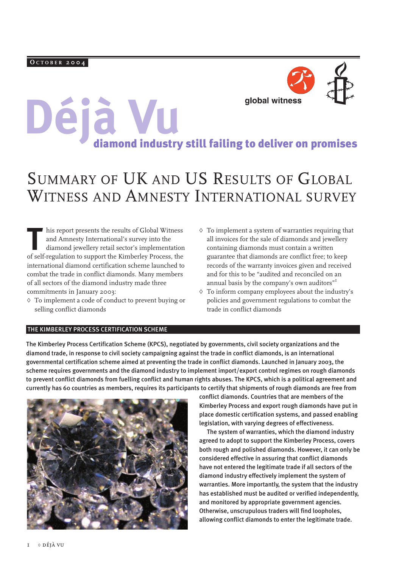# **Déjà VU**<br>diamond industry still failing to deliver on promises

## SUMMARY OF UK AND US RESULTS OF GLOBAL WITNESS AND AMNESTY INTERNATIONAL SURVEY

This report presents the results of Global Witness<br>and Amnesty International's survey into the<br>diamond jewellery retail sector's implementation<br>of self-regulation to support the Kimberley Process the and Amnesty International's survey into the diamond jewellery retail sector's implementation of self-regulation to support the Kimberley Process, the international diamond certification scheme launched to combat the trade in conflict diamonds. Many members of all sectors of the diamond industry made three commitments in January 2003:

- ◊ To implement a code of conduct to prevent buying or selling conflict diamonds
- $\Diamond$  To implement a system of warranties requiring that all invoices for the sale of diamonds and jewellery containing diamonds must contain a written guarantee that diamonds are conflict free; to keep records of the warranty invoices given and received and for this to be "audited and reconciled on an annual basis by the company's own auditors"<sup>1</sup>
- ◊ To inform company employees about the industry's policies and government regulations to combat the trade in conflict diamonds

#### THE KIMBERLEY PROCESS CERTIFICATION SCHEME

The Kimberley Process Certification Scheme (KPCS), negotiated by governments, civil society organizations and the diamond trade, in response to civil society campaigning against the trade in conflict diamonds, is an international governmental certification scheme aimed at preventing the trade in conflict diamonds. Launched in January 2003, the scheme requires governments and the diamond industry to implement import/export control regimes on rough diamonds to prevent conflict diamonds from fuelling conflict and human rights abuses. The KPCS, which is a political agreement and currently has 60 countries as members, requires its participants to certify that shipments of rough diamonds are free from



conflict diamonds. Countries that are members of the Kimberley Process and export rough diamonds have put in place domestic certification systems, and passed enabling legislation, with varying degrees of effectiveness.

The system of warranties, which the diamond industry agreed to adopt to support the Kimberley Process, covers both rough and polished diamonds. However, it can only be considered effective in assuring that conflict diamonds have not entered the legitimate trade if all sectors of the diamond industry effectively implement the system of warranties. More importantly, the system that the industry has established must be audited or verified independently, and monitored by appropriate government agencies. Otherwise, unscrupulous traders will find loopholes, allowing conflict diamonds to enter the legitimate trade.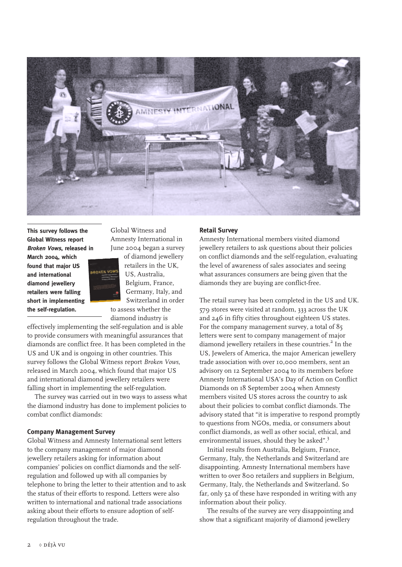

**This survey follows the Global Witness report Broken Vows, released in**

**March 2004, which found that major US and international diamond jewellery retailers were falling short in implementing the self-regulation.**



Global Witness and Amnesty International in June 2004 began a survey

of diamond jewellery retailers in the UK, US, Australia, Belgium, France, Germany, Italy, and Switzerland in order to assess whether the diamond industry is

effectively implementing the self-regulation and is able to provide consumers with meaningful assurances that diamonds are conflict free. It has been completed in the US and UK and is ongoing in other countries. This survey follows the Global Witness report *Broken Vows*, released in March 2004, which found that major US and international diamond jewellery retailers were falling short in implementing the self-regulation.

The survey was carried out in two ways to assess what the diamond industry has done to implement policies to combat conflict diamonds:

#### **Company Management Survey**

Global Witness and Amnesty International sent letters to the company management of major diamond jewellery retailers asking for information about companies' policies on conflict diamonds and the selfregulation and followed up with all companies by telephone to bring the letter to their attention and to ask the status of their efforts to respond. Letters were also written to international and national trade associations asking about their efforts to ensure adoption of selfregulation throughout the trade.

#### **Retail Survey**

Amnesty International members visited diamond jewellery retailers to ask questions about their policies on conflict diamonds and the self-regulation, evaluating the level of awareness of sales associates and seeing what assurances consumers are being given that the diamonds they are buying are conflict-free.

The retail survey has been completed in the US and UK. 579 stores were visited at random, 333 across the UK and 246 in fifty cities throughout eighteen US states. For the company management survey, a total of 85 letters were sent to company management of major diamond jewellery retailers in these countries.<sup>2</sup> In the US, Jewelers of America, the major American jewellery trade association with over 10,000 members, sent an advisory on 12 September 2004 to its members before Amnesty International USA's Day of Action on Conflict Diamonds on 18 September 2004 when Amnesty members visited US stores across the country to ask about their policies to combat conflict diamonds. The advisory stated that "it is imperative to respond promptly to questions from NGOs, media, or consumers about conflict diamonds, as well as other social, ethical, and environmental issues, should they be asked".<sup>3</sup>

Initial results from Australia, Belgium, France, Germany, Italy, the Netherlands and Switzerland are disappointing. Amnesty International members have written to over 800 retailers and suppliers in Belgium, Germany, Italy, the Netherlands and Switzerland. So far, only 52 of these have responded in writing with any information about their policy.

The results of the survey are very disappointing and show that a significant majority of diamond jewellery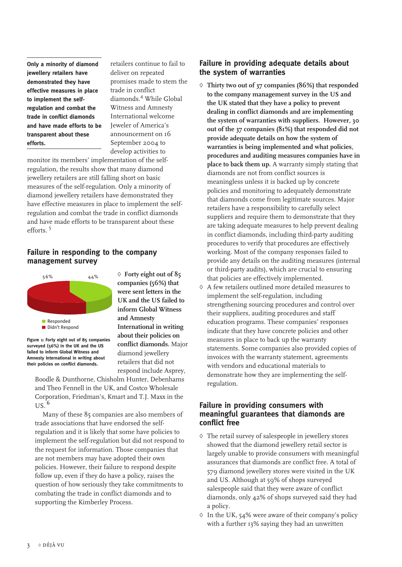**Only a minority of diamond jewellery retailers have demonstrated they have effective measures in place to implement the selfregulation and combat the trade in conflict diamonds and have made efforts to be transparent about these efforts.**

retailers continue to fail to deliver on repeated promises made to stem the trade in conflict diamonds.<sup>4</sup> While Global Witness and Amnesty International welcome Jeweler of America's announcement on 16 September 2004 to develop activities to

monitor its members' implementation of the selfregulation, the results show that many diamond jewellery retailers are still falling short on basic measures of the self-regulation. Only a minority of diamond jewellery retailers have demonstrated they have effective measures in place to implement the selfregulation and combat the trade in conflict diamonds and have made efforts to be transparent about these efforts. 5

#### **Failure in responding to the company management survey**



**Figure 1: Forty eight out of 85 companies surveyed (56%) in the UK and the US failed to inform Global Witness and Amnesty International in writing about their policies on conflict diamonds.**

◊ **Forty eight out of 85 companies (56%) that were sent letters in the UK and the US failed to inform Global Witness and Amnesty International in writing about their policies on conflict diamonds.** Major diamond jewellery retailers that did not respond include Asprey,

Boodle & Dunthorne, Chisholm Hunter, Debenhams and Theo Fennell in the UK, and Costco Wholesale Corporation, Friedman's, Kmart and T.J. Maxx in the  $US<sup>6</sup>$ 

Many of these 85 companies are also members of trade associations that have endorsed the selfregulation and it is likely that some have policies to implement the self-regulation but did not respond to the request for information. Those companies that are not members may have adopted their own policies. However, their failure to respond despite follow up, even if they do have a policy, raises the question of how seriously they take commitments to combating the trade in conflict diamonds and to supporting the Kimberley Process.

#### **Failure in providing adequate details about the system of warranties**

- ◊ **Thirty two out of 37 companies (86%) that responded to the company management survey in the US and the UK stated that they have a policy to prevent dealing in conflict diamonds and are implementing the system of warranties with suppliers. However, 30 out of the 37 companies (81%) that responded did not provide adequate details on how the system of warranties is being implemented and what policies, procedures and auditing measures companies have in place to back them up.** A warranty simply stating that diamonds are not from conflict sources is meaningless unless it is backed up by concrete policies and monitoring to adequately demonstrate that diamonds come from legitimate sources. Major retailers have a responsibility to carefully select suppliers and require them to demonstrate that they are taking adequate measures to help prevent dealing in conflict diamonds, including third-party auditing procedures to verify that procedures are effectively working. Most of the company responses failed to provide any details on the auditing measures (internal or third-party audits), which are crucial to ensuring that policies are effectively implemented.
- ◊ A few retailers outlined more detailed measures to implement the self-regulation, including strengthening sourcing procedures and control over their suppliers, auditing procedures and staff education programs. These companies' responses indicate that they have concrete policies and other measures in place to back up the warranty statements. Some companies also provided copies of invoices with the warranty statement, agreements with vendors and educational materials to demonstrate how they are implementing the selfregulation.

#### **Failure in providing consumers with meaningful guarantees that diamonds are conflict free**

- ◊ The retail survey of salespeople in jewellery stores showed that the diamond jewellery retail sector is largely unable to provide consumers with meaningful assurances that diamonds are conflict free. A total of 579 diamond jewellery stores were visited in the UK and US. Although at 59% of shops surveyed salespeople said that they were aware of conflict diamonds, only 42% of shops surveyed said they had a policy.
- $\Diamond$  In the UK, 54% were aware of their company's policy with a further 13% saying they had an unwritten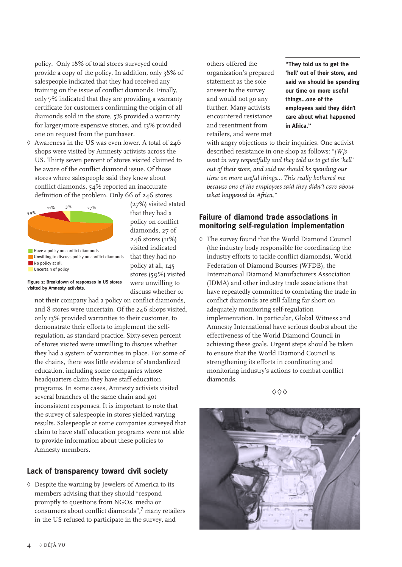policy. Only 18% of total stores surveyed could provide a copy of the policy. In addition, only 38% of salespeople indicated that they had received any training on the issue of conflict diamonds. Finally, only 7% indicated that they are providing a warranty certificate for customers confirming the origin of all diamonds sold in the store, 5% provided a warranty for larger/more expensive stones, and 13% provided one on request from the purchaser.

◊ Awareness in the US was even lower. A total of 246 shops were visited by Amnesty activists across the US. Thirty seven percent of stores visited claimed to be aware of the conflict diamond issue. Of those stores where salespeople said they knew about conflict diamonds, 54% reported an inaccurate definition of the problem. Only 66 of 246 stores



(27%) visited stated that they had a policy on conflict diamonds, 27 of 246 stores (11%) visited indicated that they had no policy at all, 145 stores (59%) visited were unwilling to discuss whether or

**Figure 2: Breakdown of responses in US stores visited by Amnesty activists.**

not their company had a policy on conflict diamonds, and 8 stores were uncertain. Of the 246 shops visited, only 13% provided warranties to their customer, to demonstrate their efforts to implement the selfregulation, as standard practice. Sixty-seven percent of stores visited were unwilling to discuss whether they had a system of warranties in place. For some of the chains, there was little evidence of standardized education, including some companies whose headquarters claim they have staff education programs. In some cases, Amnesty activists visited several branches of the same chain and got inconsistent responses. It is important to note that the survey of salespeople in stores yielded varying results. Salespeople at some companies surveyed that claim to have staff education programs were not able to provide information about these policies to Amnesty members.

### **Lack of transparency toward civil society**

◊ Despite the warning by Jewelers of America to its members advising that they should "respond promptly to questions from NGOs, media or consumers about conflict diamonds", $^7$  many retailers in the US refused to participate in the survey, and

others offered the organization's prepared statement as the sole answer to the survey and would not go any further. Many activists encountered resistance and resentment from retailers, and were met

**"They told us to get the 'hell' out of their store, and said we should be spending our time on more useful things…one of the employees said they didn't care about what happened in Africa."**

with angry objections to their inquiries. One activist described resistance in one shop as follows: "*[W]e went in very respectfully and they told us to get the 'hell' out of their store, and said we should be spending our time on more useful things… This really bothered me because one of the employees said they didn't care about what happened in Africa.*"

#### **Failure of diamond trade associations in monitoring self-regulation implementation**

◊ The survey found that the World Diamond Council (the industry body responsible for coordinating the industry efforts to tackle conflict diamonds), World Federation of Diamond Bourses (WFDB), the International Diamond Manufacturers Association (IDMA) and other industry trade associations that have repeatedly committed to combating the trade in conflict diamonds are still falling far short on adequately monitoring self-regulation implementation. In particular, Global Witness and Amnesty International have serious doubts about the effectiveness of the World Diamond Council in achieving these goals. Urgent steps should be taken to ensure that the World Diamond Council is strengthening its efforts in coordinating and monitoring industry's actions to combat conflict diamonds.



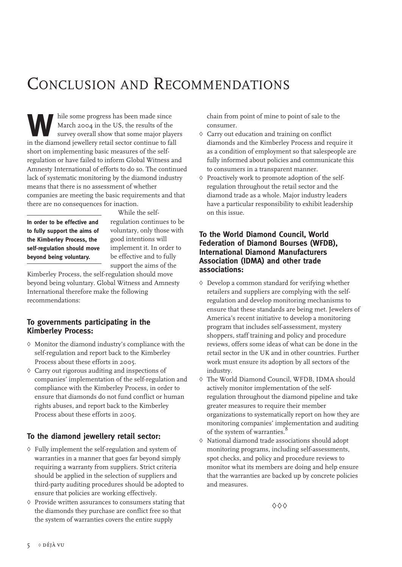## CONCLUSION AND RECOMMENDATIONS

hile some progress has been made since<br>March 2004 in the US, the results of the<br>survey overall show that some major plat<br>in the diamond jewellery retail sector continue to fa March 2004 in the US, the results of the survey overall show that some major players in the diamond jewellery retail sector continue to fall short on implementing basic measures of the selfregulation or have failed to inform Global Witness and Amnesty International of efforts to do so. The continued lack of systematic monitoring by the diamond industry means that there is no assessment of whether companies are meeting the basic requirements and that there are no consequences for inaction.

**In order to be effective and to fully support the aims of the Kimberley Process, the self-regulation should move beyond being voluntary.**

While the selfregulation continues to be voluntary, only those with good intentions will implement it. In order to be effective and to fully support the aims of the

Kimberley Process, the self-regulation should move beyond being voluntary. Global Witness and Amnesty International therefore make the following recommendations:

#### **To governments participating in the Kimberley Process:**

- ◊ Monitor the diamond industry's compliance with the self-regulation and report back to the Kimberley Process about these efforts in 2005.
- ◊ Carry out rigorous auditing and inspections of companies' implementation of the self-regulation and compliance with the Kimberley Process, in order to ensure that diamonds do not fund conflict or human rights abuses, and report back to the Kimberley Process about these efforts in 2005.

#### **To the diamond jewellery retail sector:**

- ◊ Fully implement the self-regulation and system of warranties in a manner that goes far beyond simply requiring a warranty from suppliers. Strict criteria should be applied in the selection of suppliers and third-party auditing procedures should be adopted to ensure that policies are working effectively.
- ◊ Provide written assurances to consumers stating that the diamonds they purchase are conflict free so that the system of warranties covers the entire supply

chain from point of mine to point of sale to the consumer.

- ◊ Carry out education and training on conflict diamonds and the Kimberley Process and require it as a condition of employment so that salespeople are fully informed about policies and communicate this to consumers in a transparent manner.
- ◊ Proactively work to promote adoption of the selfregulation throughout the retail sector and the diamond trade as a whole. Major industry leaders have a particular responsibility to exhibit leadership on this issue.

#### **To the World Diamond Council, World Federation of Diamond Bourses (WFDB), International Diamond Manufacturers Association (IDMA) and other trade associations:**

- ◊ Develop a common standard for verifying whether retailers and suppliers are complying with the selfregulation and develop monitoring mechanisms to ensure that these standards are being met. Jewelers of America's recent initiative to develop a monitoring program that includes self-assessment, mystery shoppers, staff training and policy and procedure reviews, offers some ideas of what can be done in the retail sector in the UK and in other countries. Further work must ensure its adoption by all sectors of the industry.
- ◊ The World Diamond Council, WFDB, IDMA should actively monitor implementation of the selfregulation throughout the diamond pipeline and take greater measures to require their member organizations to systematically report on how they are monitoring companies' implementation and auditing of the system of warranties.
- ◊ National diamond trade associations should adopt monitoring programs, including self-assessments, spot checks, and policy and procedure reviews to monitor what its members are doing and help ensure that the warranties are backed up by concrete policies and measures.